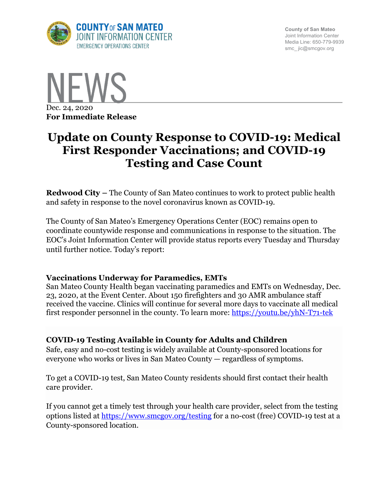

**County of San Mateo** Joint Information Center Media Line: 650-779-9939 smc\_ jic@smcgov.org



# **Update on County Response to COVID-19: Medical First Responder Vaccinations; and COVID-19 Testing and Case Count**

**Redwood City –** The County of San Mateo continues to work to protect public health and safety in response to the novel coronavirus known as COVID-19.

The County of San Mateo's Emergency Operations Center (EOC) remains open to coordinate countywide response and communications in response to the situation. The EOC's Joint Information Center will provide status reports every Tuesday and Thursday until further notice. Today's report:

# **Vaccinations Underway for Paramedics, EMTs**

San Mateo County Health began vaccinating paramedics and EMTs on Wednesday, Dec. 23, 2020, at the Event Center. About 150 firefighters and 30 AMR ambulance staff received the vaccine. Clinics will continue for several more days to vaccinate all medical first responder personnel in the county. To learn more: https://youtu.be/yhN-T71-tek

# **COVID-19 Testing Available in County for Adults and Children**

Safe, easy and no-cost testing is widely available at County-sponsored locations for everyone who works or lives in San Mateo County — regardless of symptoms.

To get a COVID-19 test, San Mateo County residents should first contact their health care provider.

If you cannot get a timely test through your health care provider, select from the testing options listed at https://www.smcgov.org/testing for a no-cost (free) COVID-19 test at a County-sponsored location.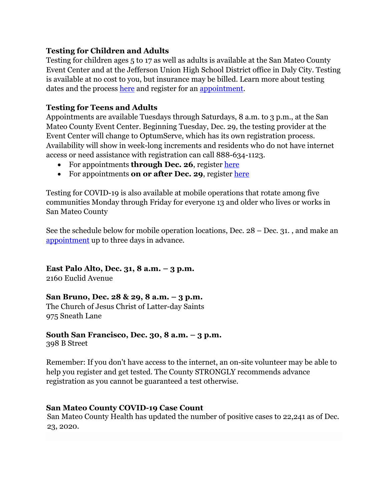# **Testing for Children and Adults**

Testing for children ages 5 to 17 as well as adults is available at the San Mateo County Event Center and at the Jefferson Union High School District office in Daly City. Testing is available at no cost to you, but insurance may be billed. Learn more about testing dates and the process here and register for an appointment.

# **Testing for Teens and Adults**

Appointments are available Tuesdays through Saturdays, 8 a.m. to 3 p.m., at the San Mateo County Event Center. Beginning Tuesday, Dec. 29, the testing provider at the Event Center will change to OptumServe, which has its own registration process. Availability will show in week-long increments and residents who do not have internet access or need assistance with registration can call 888-634-1123.

- For appointments **through Dec. 26**, register here
- For appointments **on or after Dec. 29**, register here

Testing for COVID-19 is also available at mobile operations that rotate among five communities Monday through Friday for everyone 13 and older who lives or works in San Mateo County

See the schedule below for mobile operation locations, Dec. 28 – Dec. 31. , and make an appointment up to three days in advance.

**East Palo Alto, Dec. 31, 8 a.m. – 3 p.m.** 2160 Euclid Avenue

# **San Bruno, Dec. 28 & 29, 8 a.m. – 3 p.m.**

The Church of Jesus Christ of Latter-day Saints 975 Sneath Lane

# **South San Francisco, Dec. 30, 8 a.m. – 3 p.m.**

398 B Street

Remember: If you don't have access to the internet, an on-site volunteer may be able to help you register and get tested. The County STRONGLY recommends advance registration as you cannot be guaranteed a test otherwise.

# **San Mateo County COVID-19 Case Count**

San Mateo County Health has updated the number of positive cases to 22,241 as of Dec. 23, 2020.